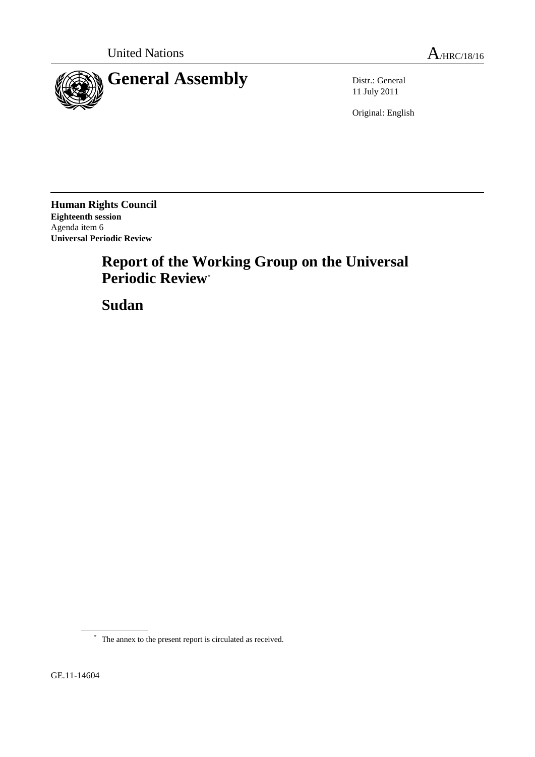

11 July 2011

Original: English

**Human Rights Council Eighteenth session** Agenda item 6 **Universal Periodic Review**

# **Report of the Working Group on the Universal Periodic Review\***

**Sudan**

GE.11-14604

<sup>\*</sup> The annex to the present report is circulated as received.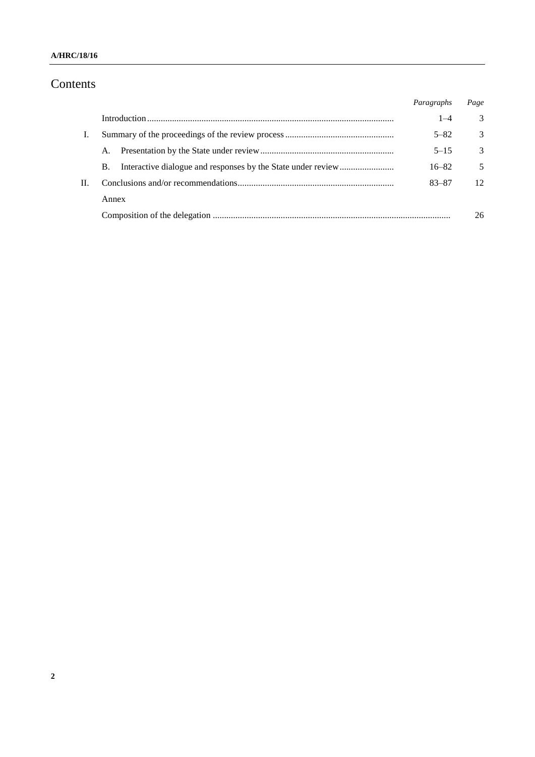### **A/HRC/18/16**

# Contents

|    |       | Paragraphs | Page            |
|----|-------|------------|-----------------|
|    |       | $1 - 4$    | 3               |
| L. |       | $5 - 82$   | $\mathcal{E}$   |
|    | A.    | $5 - 15$   | $\mathcal{E}$   |
|    | В.    | $16 - 82$  | .5              |
|    |       | 83-87      | 12 <sub>1</sub> |
|    | Annex |            |                 |
|    |       |            | 26              |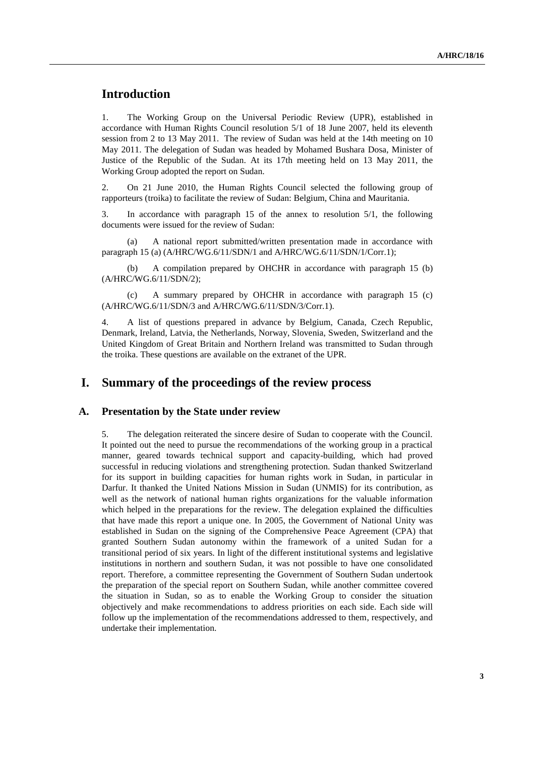# **Introduction**

1. The Working Group on the Universal Periodic Review (UPR), established in accordance with Human Rights Council resolution 5/1 of 18 June 2007, held its eleventh session from 2 to 13 May 2011. The review of Sudan was held at the 14th meeting on 10 May 2011. The delegation of Sudan was headed by Mohamed Bushara Dosa, Minister of Justice of the Republic of the Sudan. At its 17th meeting held on 13 May 2011, the Working Group adopted the report on Sudan.

2. On 21 June 2010, the Human Rights Council selected the following group of rapporteurs (troika) to facilitate the review of Sudan: Belgium, China and Mauritania.

3. In accordance with paragraph 15 of the annex to resolution 5/1, the following documents were issued for the review of Sudan:

(a) A national report submitted/written presentation made in accordance with paragraph 15 (a) (A/HRC/WG.6/11/SDN/1 and A/HRC/WG.6/11/SDN/1/Corr.1);

(b) A compilation prepared by OHCHR in accordance with paragraph 15 (b) (A/HRC/WG.6/11/SDN/2);

(c) A summary prepared by OHCHR in accordance with paragraph 15 (c) (A/HRC/WG.6/11/SDN/3 and A/HRC/WG.6/11/SDN/3/Corr.1).

4. A list of questions prepared in advance by Belgium, Canada, Czech Republic, Denmark, Ireland, Latvia, the Netherlands, Norway, Slovenia, Sweden, Switzerland and the United Kingdom of Great Britain and Northern Ireland was transmitted to Sudan through the troika. These questions are available on the extranet of the UPR.

# **I. Summary of the proceedings of the review process**

#### **A. Presentation by the State under review**

5. The delegation reiterated the sincere desire of Sudan to cooperate with the Council. It pointed out the need to pursue the recommendations of the working group in a practical manner, geared towards technical support and capacity-building, which had proved successful in reducing violations and strengthening protection. Sudan thanked Switzerland for its support in building capacities for human rights work in Sudan, in particular in Darfur. It thanked the United Nations Mission in Sudan (UNMIS) for its contribution, as well as the network of national human rights organizations for the valuable information which helped in the preparations for the review. The delegation explained the difficulties that have made this report a unique one. In 2005, the Government of National Unity was established in Sudan on the signing of the Comprehensive Peace Agreement (CPA) that granted Southern Sudan autonomy within the framework of a united Sudan for a transitional period of six years. In light of the different institutional systems and legislative institutions in northern and southern Sudan, it was not possible to have one consolidated report. Therefore, a committee representing the Government of Southern Sudan undertook the preparation of the special report on Southern Sudan, while another committee covered the situation in Sudan, so as to enable the Working Group to consider the situation objectively and make recommendations to address priorities on each side. Each side will follow up the implementation of the recommendations addressed to them, respectively, and undertake their implementation.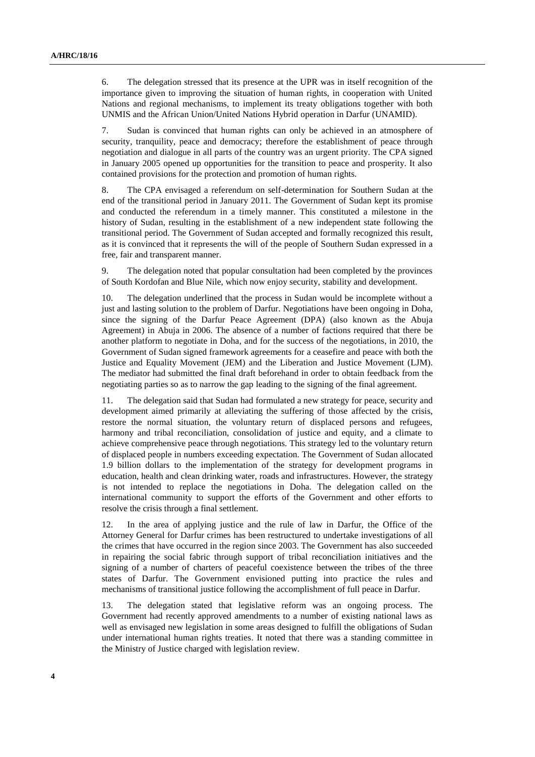6. The delegation stressed that its presence at the UPR was in itself recognition of the importance given to improving the situation of human rights, in cooperation with United Nations and regional mechanisms, to implement its treaty obligations together with both UNMIS and the African Union/United Nations Hybrid operation in Darfur (UNAMID).

7. Sudan is convinced that human rights can only be achieved in an atmosphere of security, tranquility, peace and democracy; therefore the establishment of peace through negotiation and dialogue in all parts of the country was an urgent priority. The CPA signed in January 2005 opened up opportunities for the transition to peace and prosperity. It also contained provisions for the protection and promotion of human rights.

8. The CPA envisaged a referendum on self-determination for Southern Sudan at the end of the transitional period in January 2011. The Government of Sudan kept its promise and conducted the referendum in a timely manner. This constituted a milestone in the history of Sudan, resulting in the establishment of a new independent state following the transitional period. The Government of Sudan accepted and formally recognized this result, as it is convinced that it represents the will of the people of Southern Sudan expressed in a free, fair and transparent manner.

9. The delegation noted that popular consultation had been completed by the provinces of South Kordofan and Blue Nile, which now enjoy security, stability and development.

The delegation underlined that the process in Sudan would be incomplete without a just and lasting solution to the problem of Darfur. Negotiations have been ongoing in Doha, since the signing of the Darfur Peace Agreement (DPA) (also known as the Abuja Agreement) in Abuja in 2006. The absence of a number of factions required that there be another platform to negotiate in Doha, and for the success of the negotiations, in 2010, the Government of Sudan signed framework agreements for a ceasefire and peace with both the Justice and Equality Movement (JEM) and the Liberation and Justice Movement (LJM). The mediator had submitted the final draft beforehand in order to obtain feedback from the negotiating parties so as to narrow the gap leading to the signing of the final agreement.

11. The delegation said that Sudan had formulated a new strategy for peace, security and development aimed primarily at alleviating the suffering of those affected by the crisis, restore the normal situation, the voluntary return of displaced persons and refugees, harmony and tribal reconciliation, consolidation of justice and equity, and a climate to achieve comprehensive peace through negotiations. This strategy led to the voluntary return of displaced people in numbers exceeding expectation. The Government of Sudan allocated 1.9 billion dollars to the implementation of the strategy for development programs in education, health and clean drinking water, roads and infrastructures. However, the strategy is not intended to replace the negotiations in Doha. The delegation called on the international community to support the efforts of the Government and other efforts to resolve the crisis through a final settlement.

12. In the area of applying justice and the rule of law in Darfur, the Office of the Attorney General for Darfur crimes has been restructured to undertake investigations of all the crimes that have occurred in the region since 2003. The Government has also succeeded in repairing the social fabric through support of tribal reconciliation initiatives and the signing of a number of charters of peaceful coexistence between the tribes of the three states of Darfur. The Government envisioned putting into practice the rules and mechanisms of transitional justice following the accomplishment of full peace in Darfur.

13. The delegation stated that legislative reform was an ongoing process. The Government had recently approved amendments to a number of existing national laws as well as envisaged new legislation in some areas designed to fulfill the obligations of Sudan under international human rights treaties. It noted that there was a standing committee in the Ministry of Justice charged with legislation review.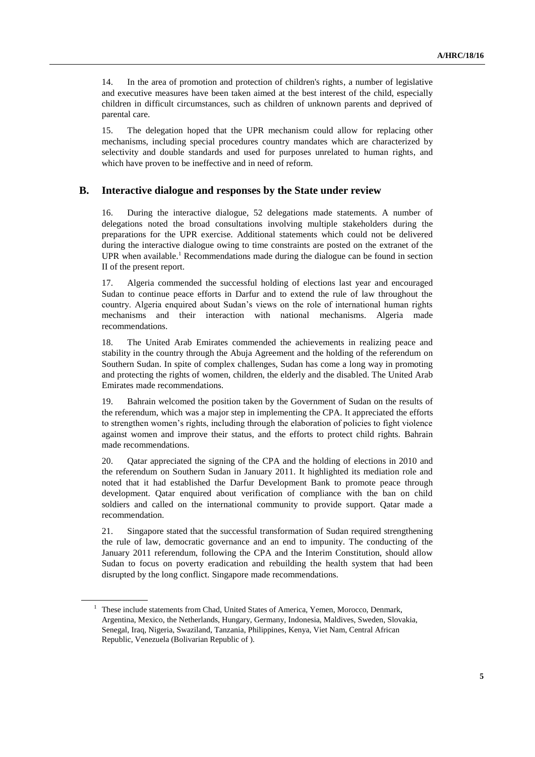14. In the area of promotion and protection of children's rights, a number of legislative and executive measures have been taken aimed at the best interest of the child, especially children in difficult circumstances, such as children of unknown parents and deprived of parental care.

15. The delegation hoped that the UPR mechanism could allow for replacing other mechanisms, including special procedures country mandates which are characterized by selectivity and double standards and used for purposes unrelated to human rights, and which have proven to be ineffective and in need of reform.

#### **B. Interactive dialogue and responses by the State under review**

16. During the interactive dialogue, 52 delegations made statements. A number of delegations noted the broad consultations involving multiple stakeholders during the preparations for the UPR exercise. Additional statements which could not be delivered during the interactive dialogue owing to time constraints are posted on the extranet of the UPR when available.<sup>1</sup> Recommendations made during the dialogue can be found in section II of the present report.

17. Algeria commended the successful holding of elections last year and encouraged Sudan to continue peace efforts in Darfur and to extend the rule of law throughout the country. Algeria enquired about Sudan's views on the role of international human rights mechanisms and their interaction with national mechanisms. Algeria made recommendations.

18. The United Arab Emirates commended the achievements in realizing peace and stability in the country through the Abuja Agreement and the holding of the referendum on Southern Sudan. In spite of complex challenges, Sudan has come a long way in promoting and protecting the rights of women, children, the elderly and the disabled. The United Arab Emirates made recommendations.

19. Bahrain welcomed the position taken by the Government of Sudan on the results of the referendum, which was a major step in implementing the CPA. It appreciated the efforts to strengthen women's rights, including through the elaboration of policies to fight violence against women and improve their status, and the efforts to protect child rights. Bahrain made recommendations.

20. Qatar appreciated the signing of the CPA and the holding of elections in 2010 and the referendum on Southern Sudan in January 2011. It highlighted its mediation role and noted that it had established the Darfur Development Bank to promote peace through development. Qatar enquired about verification of compliance with the ban on child soldiers and called on the international community to provide support. Qatar made a recommendation.

21. Singapore stated that the successful transformation of Sudan required strengthening the rule of law, democratic governance and an end to impunity. The conducting of the January 2011 referendum, following the CPA and the Interim Constitution, should allow Sudan to focus on poverty eradication and rebuilding the health system that had been disrupted by the long conflict. Singapore made recommendations.

<sup>&</sup>lt;sup>1</sup> These include statements from Chad, United States of America, Yemen, Morocco, Denmark, Argentina, Mexico, the Netherlands, Hungary, Germany, Indonesia, Maldives, Sweden, Slovakia, Senegal, Iraq, Nigeria, Swaziland, Tanzania, Philippines, Kenya, Viet Nam, Central African Republic, Venezuela (Bolivarian Republic of ).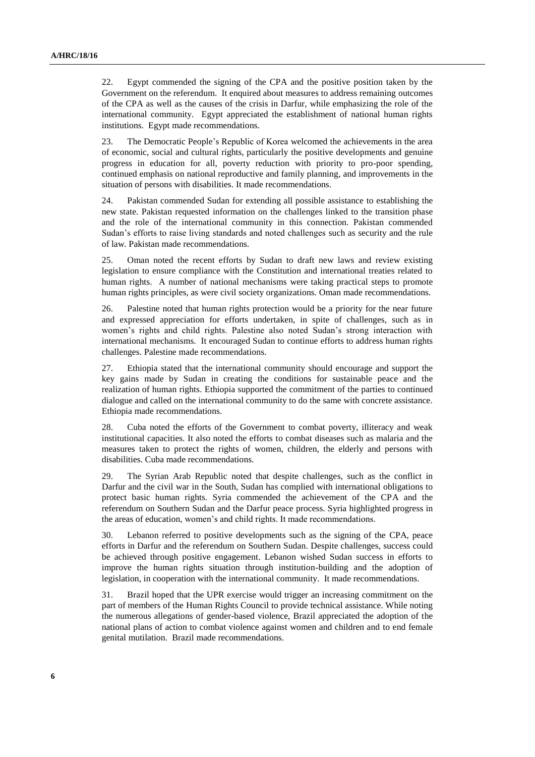22. Egypt commended the signing of the CPA and the positive position taken by the Government on the referendum. It enquired about measures to address remaining outcomes of the CPA as well as the causes of the crisis in Darfur, while emphasizing the role of the international community. Egypt appreciated the establishment of national human rights institutions. Egypt made recommendations.

23. The Democratic People's Republic of Korea welcomed the achievements in the area of economic, social and cultural rights, particularly the positive developments and genuine progress in education for all, poverty reduction with priority to pro-poor spending, continued emphasis on national reproductive and family planning, and improvements in the situation of persons with disabilities. It made recommendations.

24. Pakistan commended Sudan for extending all possible assistance to establishing the new state. Pakistan requested information on the challenges linked to the transition phase and the role of the international community in this connection. Pakistan commended Sudan's efforts to raise living standards and noted challenges such as security and the rule of law. Pakistan made recommendations.

25. Oman noted the recent efforts by Sudan to draft new laws and review existing legislation to ensure compliance with the Constitution and international treaties related to human rights. A number of national mechanisms were taking practical steps to promote human rights principles, as were civil society organizations. Oman made recommendations.

26. Palestine noted that human rights protection would be a priority for the near future and expressed appreciation for efforts undertaken, in spite of challenges, such as in women's rights and child rights. Palestine also noted Sudan's strong interaction with international mechanisms. It encouraged Sudan to continue efforts to address human rights challenges. Palestine made recommendations.

27. Ethiopia stated that the international community should encourage and support the key gains made by Sudan in creating the conditions for sustainable peace and the realization of human rights. Ethiopia supported the commitment of the parties to continued dialogue and called on the international community to do the same with concrete assistance. Ethiopia made recommendations.

28. Cuba noted the efforts of the Government to combat poverty, illiteracy and weak institutional capacities. It also noted the efforts to combat diseases such as malaria and the measures taken to protect the rights of women, children, the elderly and persons with disabilities. Cuba made recommendations.

29. The Syrian Arab Republic noted that despite challenges, such as the conflict in Darfur and the civil war in the South, Sudan has complied with international obligations to protect basic human rights. Syria commended the achievement of the CPA and the referendum on Southern Sudan and the Darfur peace process. Syria highlighted progress in the areas of education, women's and child rights. It made recommendations.

30. Lebanon referred to positive developments such as the signing of the CPA, peace efforts in Darfur and the referendum on Southern Sudan. Despite challenges, success could be achieved through positive engagement. Lebanon wished Sudan success in efforts to improve the human rights situation through institution-building and the adoption of legislation, in cooperation with the international community. It made recommendations.

31. Brazil hoped that the UPR exercise would trigger an increasing commitment on the part of members of the Human Rights Council to provide technical assistance. While noting the numerous allegations of gender-based violence, Brazil appreciated the adoption of the national plans of action to combat violence against women and children and to end female genital mutilation. Brazil made recommendations.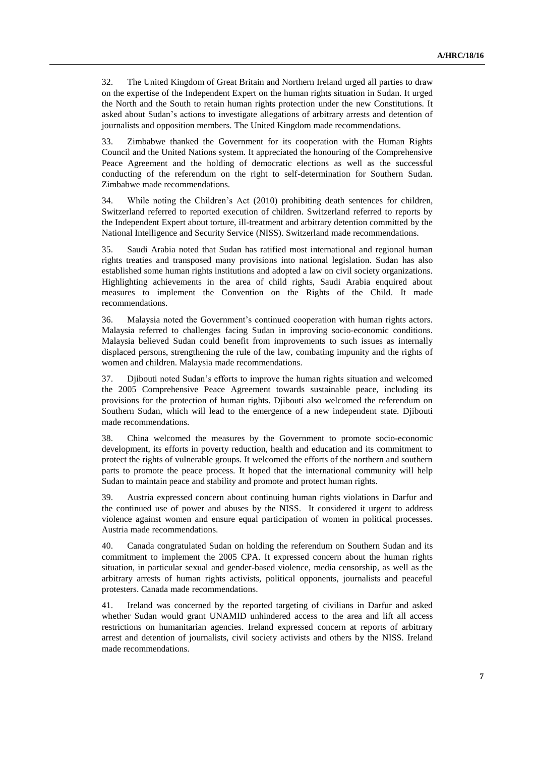32. The United Kingdom of Great Britain and Northern Ireland urged all parties to draw on the expertise of the Independent Expert on the human rights situation in Sudan. It urged the North and the South to retain human rights protection under the new Constitutions. It asked about Sudan's actions to investigate allegations of arbitrary arrests and detention of journalists and opposition members. The United Kingdom made recommendations.

33. Zimbabwe thanked the Government for its cooperation with the Human Rights Council and the United Nations system. It appreciated the honouring of the Comprehensive Peace Agreement and the holding of democratic elections as well as the successful conducting of the referendum on the right to self-determination for Southern Sudan. Zimbabwe made recommendations.

34. While noting the Children's Act (2010) prohibiting death sentences for children, Switzerland referred to reported execution of children. Switzerland referred to reports by the Independent Expert about torture, ill-treatment and arbitrary detention committed by the National Intelligence and Security Service (NISS). Switzerland made recommendations.

35. Saudi Arabia noted that Sudan has ratified most international and regional human rights treaties and transposed many provisions into national legislation. Sudan has also established some human rights institutions and adopted a law on civil society organizations. Highlighting achievements in the area of child rights, Saudi Arabia enquired about measures to implement the Convention on the Rights of the Child. It made recommendations.

36. Malaysia noted the Government's continued cooperation with human rights actors. Malaysia referred to challenges facing Sudan in improving socio-economic conditions. Malaysia believed Sudan could benefit from improvements to such issues as internally displaced persons, strengthening the rule of the law, combating impunity and the rights of women and children. Malaysia made recommendations.

37. Djibouti noted Sudan's efforts to improve the human rights situation and welcomed the 2005 Comprehensive Peace Agreement towards sustainable peace, including its provisions for the protection of human rights. Djibouti also welcomed the referendum on Southern Sudan, which will lead to the emergence of a new independent state. Djibouti made recommendations.

38. China welcomed the measures by the Government to promote socio-economic development, its efforts in poverty reduction, health and education and its commitment to protect the rights of vulnerable groups. It welcomed the efforts of the northern and southern parts to promote the peace process. It hoped that the international community will help Sudan to maintain peace and stability and promote and protect human rights.

39. Austria expressed concern about continuing human rights violations in Darfur and the continued use of power and abuses by the NISS. It considered it urgent to address violence against women and ensure equal participation of women in political processes. Austria made recommendations.

40. Canada congratulated Sudan on holding the referendum on Southern Sudan and its commitment to implement the 2005 CPA. It expressed concern about the human rights situation, in particular sexual and gender-based violence, media censorship, as well as the arbitrary arrests of human rights activists, political opponents, journalists and peaceful protesters. Canada made recommendations.

41. Ireland was concerned by the reported targeting of civilians in Darfur and asked whether Sudan would grant UNAMID unhindered access to the area and lift all access restrictions on humanitarian agencies. Ireland expressed concern at reports of arbitrary arrest and detention of journalists, civil society activists and others by the NISS. Ireland made recommendations.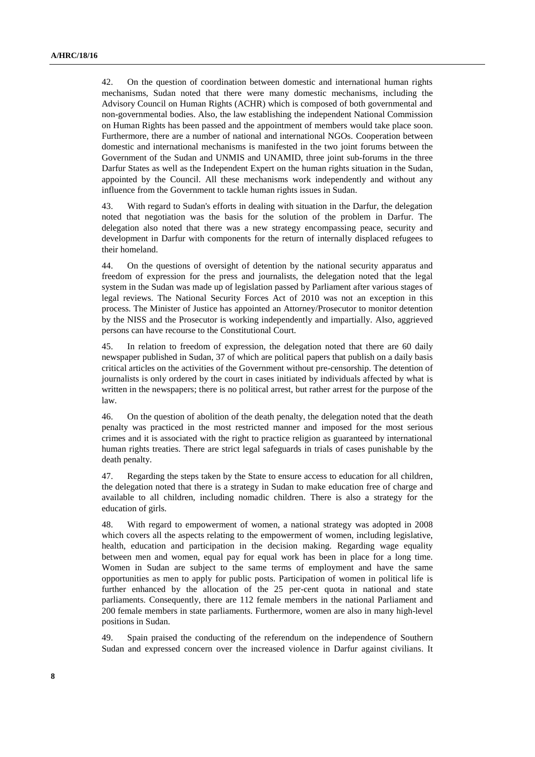42. On the question of coordination between domestic and international human rights mechanisms, Sudan noted that there were many domestic mechanisms, including the Advisory Council on Human Rights (ACHR) which is composed of both governmental and non-governmental bodies. Also, the law establishing the independent National Commission on Human Rights has been passed and the appointment of members would take place soon. Furthermore, there are a number of national and international NGOs. Cooperation between domestic and international mechanisms is manifested in the two joint forums between the Government of the Sudan and UNMIS and UNAMID, three joint sub-forums in the three Darfur States as well as the Independent Expert on the human rights situation in the Sudan, appointed by the Council. All these mechanisms work independently and without any influence from the Government to tackle human rights issues in Sudan.

43. With regard to Sudan's efforts in dealing with situation in the Darfur, the delegation noted that negotiation was the basis for the solution of the problem in Darfur. The delegation also noted that there was a new strategy encompassing peace, security and development in Darfur with components for the return of internally displaced refugees to their homeland.

44. On the questions of oversight of detention by the national security apparatus and freedom of expression for the press and journalists, the delegation noted that the legal system in the Sudan was made up of legislation passed by Parliament after various stages of legal reviews. The National Security Forces Act of 2010 was not an exception in this process. The Minister of Justice has appointed an Attorney/Prosecutor to monitor detention by the NISS and the Prosecutor is working independently and impartially. Also, aggrieved persons can have recourse to the Constitutional Court.

45. In relation to freedom of expression, the delegation noted that there are 60 daily newspaper published in Sudan, 37 of which are political papers that publish on a daily basis critical articles on the activities of the Government without pre-censorship. The detention of journalists is only ordered by the court in cases initiated by individuals affected by what is written in the newspapers; there is no political arrest, but rather arrest for the purpose of the law.

46. On the question of abolition of the death penalty, the delegation noted that the death penalty was practiced in the most restricted manner and imposed for the most serious crimes and it is associated with the right to practice religion as guaranteed by international human rights treaties. There are strict legal safeguards in trials of cases punishable by the death penalty.

47. Regarding the steps taken by the State to ensure access to education for all children, the delegation noted that there is a strategy in Sudan to make education free of charge and available to all children, including nomadic children. There is also a strategy for the education of girls.

48. With regard to empowerment of women, a national strategy was adopted in 2008 which covers all the aspects relating to the empowerment of women, including legislative, health, education and participation in the decision making. Regarding wage equality between men and women, equal pay for equal work has been in place for a long time. Women in Sudan are subject to the same terms of employment and have the same opportunities as men to apply for public posts. Participation of women in political life is further enhanced by the allocation of the 25 per-cent quota in national and state parliaments. Consequently, there are 112 female members in the national Parliament and 200 female members in state parliaments. Furthermore, women are also in many high-level positions in Sudan.

49. Spain praised the conducting of the referendum on the independence of Southern Sudan and expressed concern over the increased violence in Darfur against civilians. It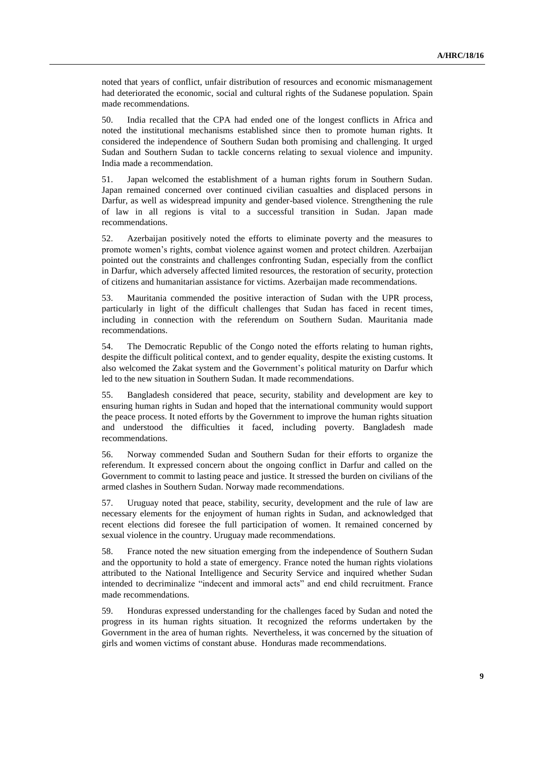noted that years of conflict, unfair distribution of resources and economic mismanagement had deteriorated the economic, social and cultural rights of the Sudanese population. Spain made recommendations.

50. India recalled that the CPA had ended one of the longest conflicts in Africa and noted the institutional mechanisms established since then to promote human rights. It considered the independence of Southern Sudan both promising and challenging. It urged Sudan and Southern Sudan to tackle concerns relating to sexual violence and impunity. India made a recommendation.

51. Japan welcomed the establishment of a human rights forum in Southern Sudan. Japan remained concerned over continued civilian casualties and displaced persons in Darfur, as well as widespread impunity and gender-based violence. Strengthening the rule of law in all regions is vital to a successful transition in Sudan. Japan made recommendations.

52. Azerbaijan positively noted the efforts to eliminate poverty and the measures to promote women's rights, combat violence against women and protect children. Azerbaijan pointed out the constraints and challenges confronting Sudan, especially from the conflict in Darfur, which adversely affected limited resources, the restoration of security, protection of citizens and humanitarian assistance for victims. Azerbaijan made recommendations.

53. Mauritania commended the positive interaction of Sudan with the UPR process, particularly in light of the difficult challenges that Sudan has faced in recent times, including in connection with the referendum on Southern Sudan. Mauritania made recommendations.

54. The Democratic Republic of the Congo noted the efforts relating to human rights, despite the difficult political context, and to gender equality, despite the existing customs. It also welcomed the Zakat system and the Government's political maturity on Darfur which led to the new situation in Southern Sudan. It made recommendations.

55. Bangladesh considered that peace, security, stability and development are key to ensuring human rights in Sudan and hoped that the international community would support the peace process. It noted efforts by the Government to improve the human rights situation and understood the difficulties it faced, including poverty. Bangladesh made recommendations.

56. Norway commended Sudan and Southern Sudan for their efforts to organize the referendum. It expressed concern about the ongoing conflict in Darfur and called on the Government to commit to lasting peace and justice. It stressed the burden on civilians of the armed clashes in Southern Sudan. Norway made recommendations.

57. Uruguay noted that peace, stability, security, development and the rule of law are necessary elements for the enjoyment of human rights in Sudan, and acknowledged that recent elections did foresee the full participation of women. It remained concerned by sexual violence in the country. Uruguay made recommendations.

58. France noted the new situation emerging from the independence of Southern Sudan and the opportunity to hold a state of emergency. France noted the human rights violations attributed to the National Intelligence and Security Service and inquired whether Sudan intended to decriminalize "indecent and immoral acts" and end child recruitment. France made recommendations.

59. Honduras expressed understanding for the challenges faced by Sudan and noted the progress in its human rights situation. It recognized the reforms undertaken by the Government in the area of human rights. Nevertheless, it was concerned by the situation of girls and women victims of constant abuse. Honduras made recommendations.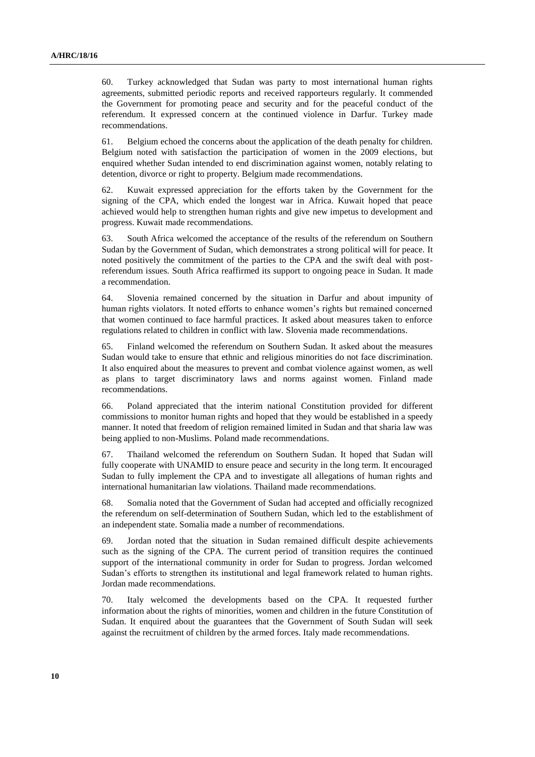60. Turkey acknowledged that Sudan was party to most international human rights agreements, submitted periodic reports and received rapporteurs regularly. It commended the Government for promoting peace and security and for the peaceful conduct of the referendum. It expressed concern at the continued violence in Darfur. Turkey made recommendations.

61. Belgium echoed the concerns about the application of the death penalty for children. Belgium noted with satisfaction the participation of women in the 2009 elections, but enquired whether Sudan intended to end discrimination against women, notably relating to detention, divorce or right to property. Belgium made recommendations.

62. Kuwait expressed appreciation for the efforts taken by the Government for the signing of the CPA, which ended the longest war in Africa. Kuwait hoped that peace achieved would help to strengthen human rights and give new impetus to development and progress. Kuwait made recommendations.

63. South Africa welcomed the acceptance of the results of the referendum on Southern Sudan by the Government of Sudan, which demonstrates a strong political will for peace. It noted positively the commitment of the parties to the CPA and the swift deal with postreferendum issues. South Africa reaffirmed its support to ongoing peace in Sudan. It made a recommendation.

64. Slovenia remained concerned by the situation in Darfur and about impunity of human rights violators. It noted efforts to enhance women's rights but remained concerned that women continued to face harmful practices. It asked about measures taken to enforce regulations related to children in conflict with law. Slovenia made recommendations.

65. Finland welcomed the referendum on Southern Sudan. It asked about the measures Sudan would take to ensure that ethnic and religious minorities do not face discrimination. It also enquired about the measures to prevent and combat violence against women, as well as plans to target discriminatory laws and norms against women. Finland made recommendations.

66. Poland appreciated that the interim national Constitution provided for different commissions to monitor human rights and hoped that they would be established in a speedy manner. It noted that freedom of religion remained limited in Sudan and that sharia law was being applied to non-Muslims. Poland made recommendations.

67. Thailand welcomed the referendum on Southern Sudan. It hoped that Sudan will fully cooperate with UNAMID to ensure peace and security in the long term. It encouraged Sudan to fully implement the CPA and to investigate all allegations of human rights and international humanitarian law violations. Thailand made recommendations.

68. Somalia noted that the Government of Sudan had accepted and officially recognized the referendum on self-determination of Southern Sudan, which led to the establishment of an independent state. Somalia made a number of recommendations.

69. Jordan noted that the situation in Sudan remained difficult despite achievements such as the signing of the CPA. The current period of transition requires the continued support of the international community in order for Sudan to progress. Jordan welcomed Sudan's efforts to strengthen its institutional and legal framework related to human rights. Jordan made recommendations.

70. Italy welcomed the developments based on the CPA. It requested further information about the rights of minorities, women and children in the future Constitution of Sudan. It enquired about the guarantees that the Government of South Sudan will seek against the recruitment of children by the armed forces. Italy made recommendations.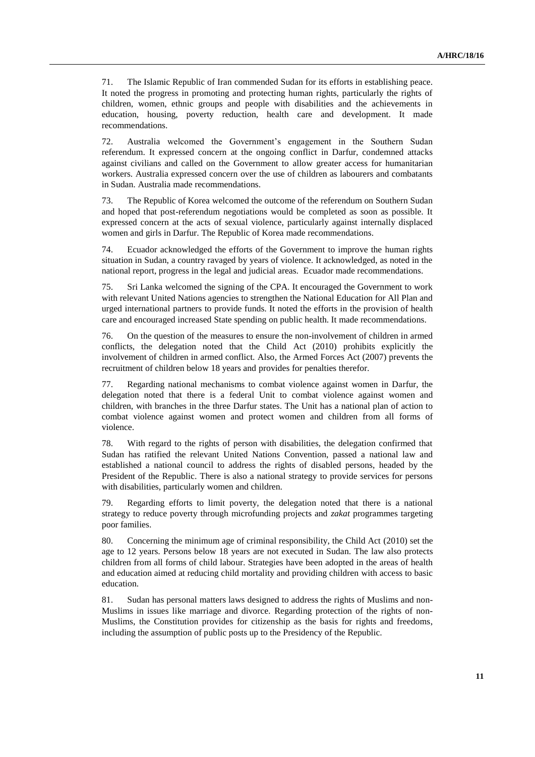71. The Islamic Republic of Iran commended Sudan for its efforts in establishing peace. It noted the progress in promoting and protecting human rights, particularly the rights of children, women, ethnic groups and people with disabilities and the achievements in education, housing, poverty reduction, health care and development. It made recommendations.

72. Australia welcomed the Government's engagement in the Southern Sudan referendum. It expressed concern at the ongoing conflict in Darfur, condemned attacks against civilians and called on the Government to allow greater access for humanitarian workers. Australia expressed concern over the use of children as labourers and combatants in Sudan. Australia made recommendations.

73. The Republic of Korea welcomed the outcome of the referendum on Southern Sudan and hoped that post-referendum negotiations would be completed as soon as possible. It expressed concern at the acts of sexual violence, particularly against internally displaced women and girls in Darfur. The Republic of Korea made recommendations.

74. Ecuador acknowledged the efforts of the Government to improve the human rights situation in Sudan, a country ravaged by years of violence. It acknowledged, as noted in the national report, progress in the legal and judicial areas. Ecuador made recommendations.

75. Sri Lanka welcomed the signing of the CPA. It encouraged the Government to work with relevant United Nations agencies to strengthen the National Education for All Plan and urged international partners to provide funds. It noted the efforts in the provision of health care and encouraged increased State spending on public health. It made recommendations.

76. On the question of the measures to ensure the non-involvement of children in armed conflicts, the delegation noted that the Child Act (2010) prohibits explicitly the involvement of children in armed conflict. Also, the Armed Forces Act (2007) prevents the recruitment of children below 18 years and provides for penalties therefor.

77. Regarding national mechanisms to combat violence against women in Darfur, the delegation noted that there is a federal Unit to combat violence against women and children, with branches in the three Darfur states. The Unit has a national plan of action to combat violence against women and protect women and children from all forms of violence.

78. With regard to the rights of person with disabilities, the delegation confirmed that Sudan has ratified the relevant United Nations Convention, passed a national law and established a national council to address the rights of disabled persons, headed by the President of the Republic. There is also a national strategy to provide services for persons with disabilities, particularly women and children.

79. Regarding efforts to limit poverty, the delegation noted that there is a national strategy to reduce poverty through microfunding projects and *zakat* programmes targeting poor families.

80. Concerning the minimum age of criminal responsibility, the Child Act (2010) set the age to 12 years. Persons below 18 years are not executed in Sudan. The law also protects children from all forms of child labour. Strategies have been adopted in the areas of health and education aimed at reducing child mortality and providing children with access to basic education.

81. Sudan has personal matters laws designed to address the rights of Muslims and non-Muslims in issues like marriage and divorce. Regarding protection of the rights of non-Muslims, the Constitution provides for citizenship as the basis for rights and freedoms, including the assumption of public posts up to the Presidency of the Republic.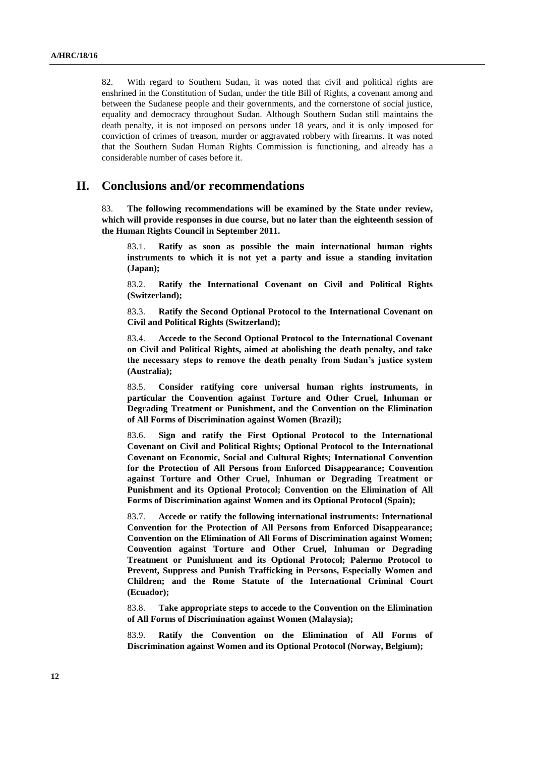82. With regard to Southern Sudan, it was noted that civil and political rights are enshrined in the Constitution of Sudan, under the title Bill of Rights, a covenant among and between the Sudanese people and their governments, and the cornerstone of social justice, equality and democracy throughout Sudan. Although Southern Sudan still maintains the death penalty, it is not imposed on persons under 18 years, and it is only imposed for conviction of crimes of treason, murder or aggravated robbery with firearms. It was noted that the Southern Sudan Human Rights Commission is functioning, and already has a considerable number of cases before it.

## **II. Conclusions and/or recommendations**

83. **The following recommendations will be examined by the State under review, which will provide responses in due course, but no later than the eighteenth session of the Human Rights Council in September 2011.**

83.1. **Ratify as soon as possible the main international human rights instruments to which it is not yet a party and issue a standing invitation (Japan);**

83.2. **Ratify the International Covenant on Civil and Political Rights (Switzerland);**

83.3. **Ratify the Second Optional Protocol to the International Covenant on Civil and Political Rights (Switzerland);**

83.4. **Accede to the Second Optional Protocol to the International Covenant on Civil and Political Rights, aimed at abolishing the death penalty, and take the necessary steps to remove the death penalty from Sudan's justice system (Australia);**

83.5. **Consider ratifying core universal human rights instruments, in particular the Convention against Torture and Other Cruel, Inhuman or Degrading Treatment or Punishment, and the Convention on the Elimination of All Forms of Discrimination against Women (Brazil);**

83.6. **Sign and ratify the First Optional Protocol to the International Covenant on Civil and Political Rights; Optional Protocol to the International Covenant on Economic, Social and Cultural Rights; International Convention for the Protection of All Persons from Enforced Disappearance; Convention against Torture and Other Cruel, Inhuman or Degrading Treatment or Punishment and its Optional Protocol; Convention on the Elimination of All Forms of Discrimination against Women and its Optional Protocol (Spain);**

83.7. **Accede or ratify the following international instruments: International Convention for the Protection of All Persons from Enforced Disappearance; Convention on the Elimination of All Forms of Discrimination against Women; Convention against Torture and Other Cruel, Inhuman or Degrading Treatment or Punishment and its Optional Protocol; Palermo Protocol to Prevent, Suppress and Punish Trafficking in Persons, Especially Women and Children; and the Rome Statute of the International Criminal Court (Ecuador);**

83.8. **Take appropriate steps to accede to the Convention on the Elimination of All Forms of Discrimination against Women (Malaysia);**

83.9. **Ratify the Convention on the Elimination of All Forms of Discrimination against Women and its Optional Protocol (Norway, Belgium);**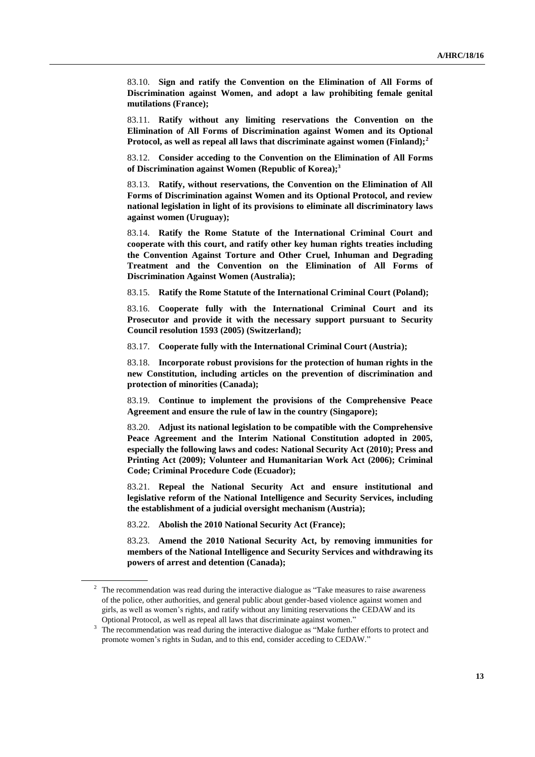83.10. **Sign and ratify the Convention on the Elimination of All Forms of Discrimination against Women, and adopt a law prohibiting female genital mutilations (France);**

83.11. **Ratify without any limiting reservations the Convention on the Elimination of All Forms of Discrimination against Women and its Optional Protocol, as well as repeal all laws that discriminate against women (Finland);<sup>2</sup>**

83.12. **Consider acceding to the Convention on the Elimination of All Forms of Discrimination against Women (Republic of Korea);<sup>3</sup>**

83.13. **Ratify, without reservations, the Convention on the Elimination of All Forms of Discrimination against Women and its Optional Protocol, and review national legislation in light of its provisions to eliminate all discriminatory laws against women (Uruguay);**

83.14. **Ratify the Rome Statute of the International Criminal Court and cooperate with this court, and ratify other key human rights treaties including the Convention Against Torture and Other Cruel, Inhuman and Degrading Treatment and the Convention on the Elimination of All Forms of Discrimination Against Women (Australia);**

83.15. **Ratify the Rome Statute of the International Criminal Court (Poland);**

83.16. **Cooperate fully with the International Criminal Court and its Prosecutor and provide it with the necessary support pursuant to Security Council resolution 1593 (2005) (Switzerland);**

83.17. **Cooperate fully with the International Criminal Court (Austria);**

83.18. **Incorporate robust provisions for the protection of human rights in the new Constitution, including articles on the prevention of discrimination and protection of minorities (Canada);**

83.19. **Continue to implement the provisions of the Comprehensive Peace Agreement and ensure the rule of law in the country (Singapore);**

83.20. **Adjust its national legislation to be compatible with the Comprehensive Peace Agreement and the Interim National Constitution adopted in 2005, especially the following laws and codes: National Security Act (2010); Press and Printing Act (2009); Volunteer and Humanitarian Work Act (2006); Criminal Code; Criminal Procedure Code (Ecuador);**

83.21. **Repeal the National Security Act and ensure institutional and legislative reform of the National Intelligence and Security Services, including the establishment of a judicial oversight mechanism (Austria);**

83.22. **Abolish the 2010 National Security Act (France);**

83.23. **Amend the 2010 National Security Act, by removing immunities for members of the National Intelligence and Security Services and withdrawing its powers of arrest and detention (Canada);**

<sup>&</sup>lt;sup>2</sup> The recommendation was read during the interactive dialogue as "Take measures to raise awareness of the police, other authorities, and general public about gender-based violence against women and girls, as well as women's rights, and ratify without any limiting reservations the CEDAW and its Optional Protocol, as well as repeal all laws that discriminate against women."

<sup>&</sup>lt;sup>3</sup> The recommendation was read during the interactive dialogue as "Make further efforts to protect and promote women's rights in Sudan, and to this end, consider acceding to CEDAW."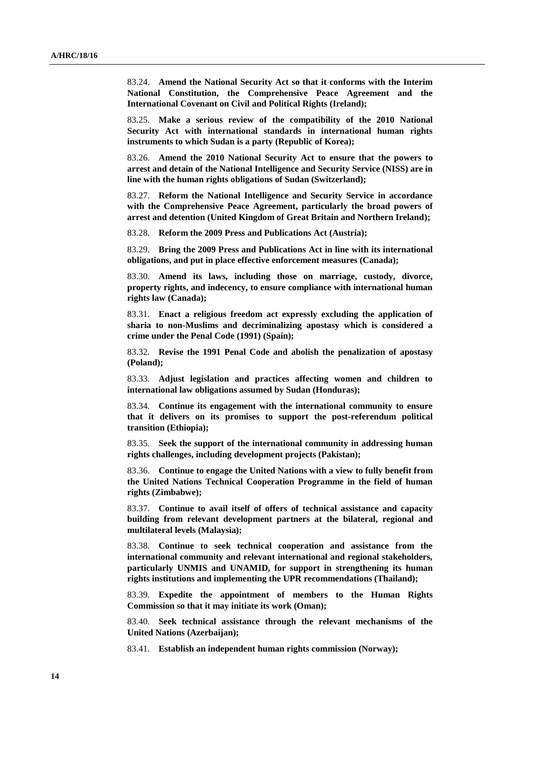83.24. **Amend the National Security Act so that it conforms with the Interim National Constitution, the Comprehensive Peace Agreement and the International Covenant on Civil and Political Rights (Ireland);**

83.25. **Make a serious review of the compatibility of the 2010 National Security Act with international standards in international human rights instruments to which Sudan is a party (Republic of Korea);**

83.26. **Amend the 2010 National Security Act to ensure that the powers to arrest and detain of the National Intelligence and Security Service (NISS) are in line with the human rights obligations of Sudan (Switzerland);**

83.27. **Reform the National Intelligence and Security Service in accordance with the Comprehensive Peace Agreement, particularly the broad powers of arrest and detention (United Kingdom of Great Britain and Northern Ireland);**

83.28. **Reform the 2009 Press and Publications Act (Austria);**

83.29. **Bring the 2009 Press and Publications Act in line with its international obligations, and put in place effective enforcement measures (Canada);**

83.30. **Amend its laws, including those on marriage, custody, divorce, property rights, and indecency, to ensure compliance with international human rights law (Canada);**

83.31. **Enact a religious freedom act expressly excluding the application of sharia to non-Muslims and decriminalizing apostasy which is considered a crime under the Penal Code (1991) (Spain);**

83.32. **Revise the 1991 Penal Code and abolish the penalization of apostasy (Poland);**

83.33. **Adjust legislation and practices affecting women and children to international law obligations assumed by Sudan (Honduras);**

83.34. **Continue its engagement with the international community to ensure that it delivers on its promises to support the post-referendum political transition (Ethiopia);**

83.35. **Seek the support of the international community in addressing human rights challenges, including development projects (Pakistan);**

83.36. **Continue to engage the United Nations with a view to fully benefit from the United Nations Technical Cooperation Programme in the field of human rights (Zimbabwe);**

83.37. **Continue to avail itself of offers of technical assistance and capacity building from relevant development partners at the bilateral, regional and multilateral levels (Malaysia);**

83.38. **Continue to seek technical cooperation and assistance from the international community and relevant international and regional stakeholders, particularly UNMIS and UNAMID, for support in strengthening its human rights institutions and implementing the UPR recommendations (Thailand);**

83.39. **Expedite the appointment of members to the Human Rights Commission so that it may initiate its work (Oman);**

83.40. **Seek technical assistance through the relevant mechanisms of the United Nations (Azerbaijan);**

83.41. **Establish an independent human rights commission (Norway);**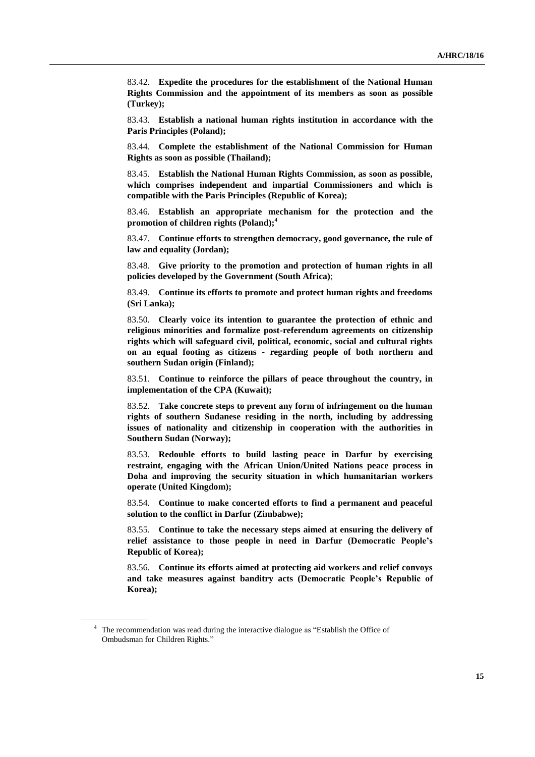83.42. **Expedite the procedures for the establishment of the National Human Rights Commission and the appointment of its members as soon as possible (Turkey);**

83.43. **Establish a national human rights institution in accordance with the Paris Principles (Poland);**

83.44. **Complete the establishment of the National Commission for Human Rights as soon as possible (Thailand);**

83.45. **Establish the National Human Rights Commission, as soon as possible, which comprises independent and impartial Commissioners and which is compatible with the Paris Principles (Republic of Korea);**

83.46. **Establish an appropriate mechanism for the protection and the promotion of children rights (Poland);<sup>4</sup>**

83.47. **Continue efforts to strengthen democracy, good governance, the rule of law and equality (Jordan);**

83.48. **Give priority to the promotion and protection of human rights in all policies developed by the Government (South Africa)**;

83.49. **Continue its efforts to promote and protect human rights and freedoms (Sri Lanka);**

83.50. **Clearly voice its intention to guarantee the protection of ethnic and religious minorities and formalize post-referendum agreements on citizenship rights which will safeguard civil, political, economic, social and cultural rights on an equal footing as citizens - regarding people of both northern and southern Sudan origin (Finland);**

83.51. **Continue to reinforce the pillars of peace throughout the country, in implementation of the CPA (Kuwait);**

83.52. **Take concrete steps to prevent any form of infringement on the human rights of southern Sudanese residing in the north, including by addressing issues of nationality and citizenship in cooperation with the authorities in Southern Sudan (Norway);**

83.53. **Redouble efforts to build lasting peace in Darfur by exercising restraint, engaging with the African Union/United Nations peace process in Doha and improving the security situation in which humanitarian workers operate (United Kingdom);**

83.54. **Continue to make concerted efforts to find a permanent and peaceful solution to the conflict in Darfur (Zimbabwe);**

83.55. **Continue to take the necessary steps aimed at ensuring the delivery of relief assistance to those people in need in Darfur (Democratic People's Republic of Korea);**

83.56. **Continue its efforts aimed at protecting aid workers and relief convoys and take measures against banditry acts (Democratic People's Republic of Korea);**

<sup>4</sup> The recommendation was read during the interactive dialogue as "Establish the Office of Ombudsman for Children Rights."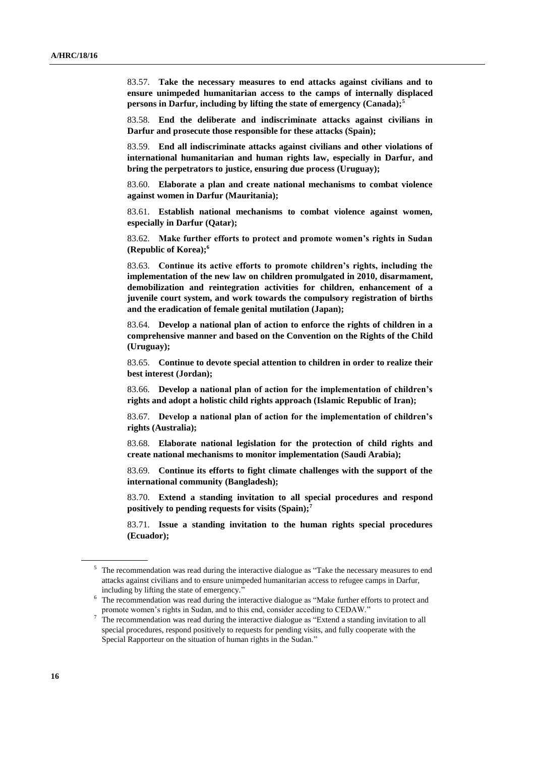83.57. **Take the necessary measures to end attacks against civilians and to ensure unimpeded humanitarian access to the camps of internally displaced persons in Darfur, including by lifting the state of emergency (Canada);<sup>5</sup>**

83.58. **End the deliberate and indiscriminate attacks against civilians in Darfur and prosecute those responsible for these attacks (Spain);**

83.59. **End all indiscriminate attacks against civilians and other violations of international humanitarian and human rights law, especially in Darfur, and bring the perpetrators to justice, ensuring due process (Uruguay);**

83.60. **Elaborate a plan and create national mechanisms to combat violence against women in Darfur (Mauritania);**

83.61. **Establish national mechanisms to combat violence against women, especially in Darfur (Qatar);**

83.62. **Make further efforts to protect and promote women's rights in Sudan (Republic of Korea);<sup>6</sup>**

83.63. **Continue its active efforts to promote children's rights, including the implementation of the new law on children promulgated in 2010, disarmament, demobilization and reintegration activities for children, enhancement of a juvenile court system, and work towards the compulsory registration of births and the eradication of female genital mutilation (Japan);**

83.64. **Develop a national plan of action to enforce the rights of children in a comprehensive manner and based on the Convention on the Rights of the Child (Uruguay);**

83.65. **Continue to devote special attention to children in order to realize their best interest (Jordan);**

83.66. **Develop a national plan of action for the implementation of children's rights and adopt a holistic child rights approach (Islamic Republic of Iran);**

83.67. **Develop a national plan of action for the implementation of children's rights (Australia);**

83.68. **Elaborate national legislation for the protection of child rights and create national mechanisms to monitor implementation (Saudi Arabia);**

83.69. **Continue its efforts to fight climate challenges with the support of the international community (Bangladesh);**

83.70. **Extend a standing invitation to all special procedures and respond positively to pending requests for visits (Spain);<sup>7</sup>**

83.71. **Issue a standing invitation to the human rights special procedures (Ecuador);**

<sup>&</sup>lt;sup>5</sup> The recommendation was read during the interactive dialogue as "Take the necessary measures to end attacks against civilians and to ensure unimpeded humanitarian access to refugee camps in Darfur, including by lifting the state of emergency."

<sup>&</sup>lt;sup>6</sup> The recommendation was read during the interactive dialogue as "Make further efforts to protect and promote women's rights in Sudan, and to this end, consider acceding to CEDAW."

<sup>&</sup>lt;sup>7</sup> The recommendation was read during the interactive dialogue as "Extend a standing invitation to all special procedures, respond positively to requests for pending visits, and fully cooperate with the Special Rapporteur on the situation of human rights in the Sudan."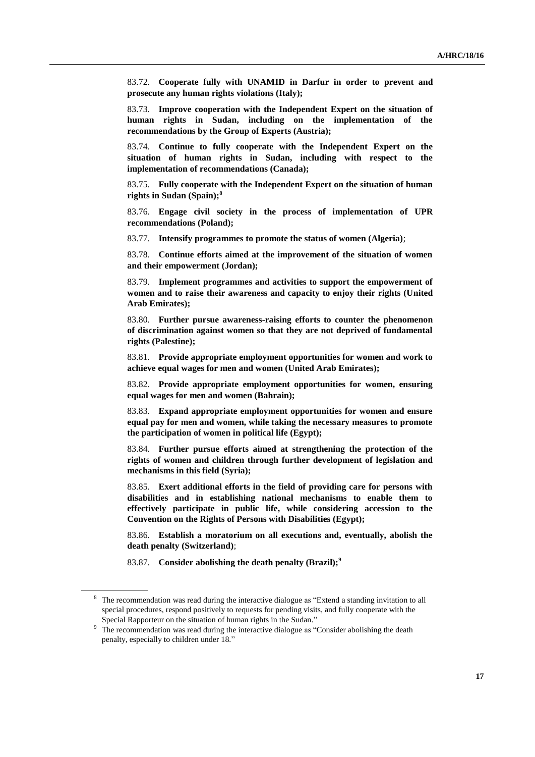83.72. **Cooperate fully with UNAMID in Darfur in order to prevent and prosecute any human rights violations (Italy);**

83.73. **Improve cooperation with the Independent Expert on the situation of human rights in Sudan, including on the implementation of the recommendations by the Group of Experts (Austria);**

83.74. **Continue to fully cooperate with the Independent Expert on the situation of human rights in Sudan, including with respect to the implementation of recommendations (Canada);**

83.75. **Fully cooperate with the Independent Expert on the situation of human rights in Sudan (Spain);<sup>8</sup>**

83.76. **Engage civil society in the process of implementation of UPR recommendations (Poland);**

83.77. **Intensify programmes to promote the status of women (Algeria)**;

83.78. **Continue efforts aimed at the improvement of the situation of women and their empowerment (Jordan);**

83.79. **Implement programmes and activities to support the empowerment of women and to raise their awareness and capacity to enjoy their rights (United Arab Emirates);**

83.80. **Further pursue awareness-raising efforts to counter the phenomenon of discrimination against women so that they are not deprived of fundamental rights (Palestine);**

83.81. **Provide appropriate employment opportunities for women and work to achieve equal wages for men and women (United Arab Emirates);**

83.82. **Provide appropriate employment opportunities for women, ensuring equal wages for men and women (Bahrain);**

83.83. **Expand appropriate employment opportunities for women and ensure equal pay for men and women, while taking the necessary measures to promote the participation of women in political life (Egypt);**

83.84. **Further pursue efforts aimed at strengthening the protection of the rights of women and children through further development of legislation and mechanisms in this field (Syria);**

83.85. **Exert additional efforts in the field of providing care for persons with disabilities and in establishing national mechanisms to enable them to effectively participate in public life, while considering accession to the Convention on the Rights of Persons with Disabilities (Egypt);**

83.86. **Establish a moratorium on all executions and, eventually, abolish the death penalty (Switzerland)**;

83.87. **Consider abolishing the death penalty (Brazil);<sup>9</sup>**

<sup>&</sup>lt;sup>8</sup> The recommendation was read during the interactive dialogue as "Extend a standing invitation to all special procedures, respond positively to requests for pending visits, and fully cooperate with the Special Rapporteur on the situation of human rights in the Sudan."

<sup>&</sup>lt;sup>9</sup> The recommendation was read during the interactive dialogue as "Consider abolishing the death penalty, especially to children under 18."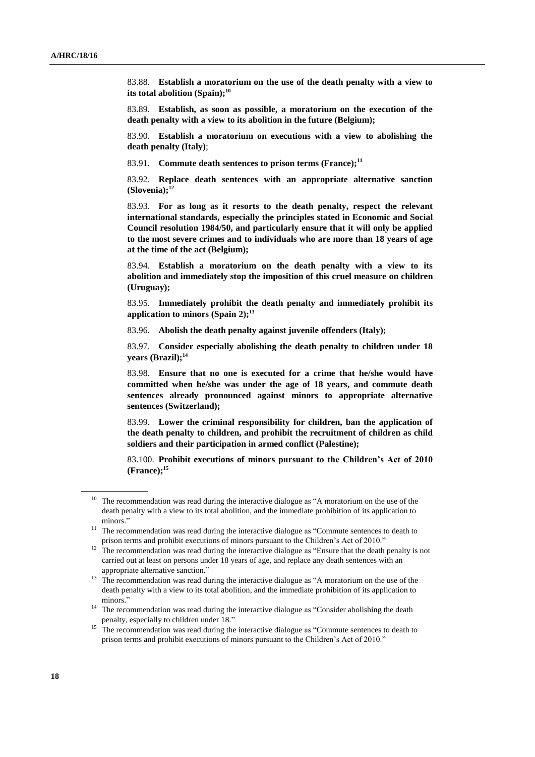83.88. **Establish a moratorium on the use of the death penalty with a view to its total abolition (Spain);<sup>10</sup>**

83.89. **Establish, as soon as possible, a moratorium on the execution of the death penalty with a view to its abolition in the future (Belgium);**

83.90. **Establish a moratorium on executions with a view to abolishing the death penalty (Italy)**;

83.91. **Commute death sentences to prison terms (France);<sup>11</sup>**

83.92. **Replace death sentences with an appropriate alternative sanction (Slovenia);<sup>12</sup>**

83.93. **For as long as it resorts to the death penalty, respect the relevant international standards, especially the principles stated in Economic and Social Council resolution 1984/50, and particularly ensure that it will only be applied to the most severe crimes and to individuals who are more than 18 years of age at the time of the act (Belgium);**

83.94. **Establish a moratorium on the death penalty with a view to its abolition and immediately stop the imposition of this cruel measure on children (Uruguay);**

83.95. **Immediately prohibit the death penalty and immediately prohibit its application to minors (Spain 2);<sup>13</sup>**

83.96. **Abolish the death penalty against juvenile offenders (Italy);**

83.97. **Consider especially abolishing the death penalty to children under 18 years (Brazil);<sup>14</sup>**

83.98. **Ensure that no one is executed for a crime that he/she would have committed when he/she was under the age of 18 years, and commute death sentences already pronounced against minors to appropriate alternative sentences (Switzerland);**

83.99. **Lower the criminal responsibility for children, ban the application of the death penalty to children, and prohibit the recruitment of children as child soldiers and their participation in armed conflict (Palestine);**

83.100. **Prohibit executions of minors pursuant to the Children's Act of 2010 (France);<sup>15</sup>**

<sup>&</sup>lt;sup>10</sup> The recommendation was read during the interactive dialogue as "A moratorium on the use of the death penalty with a view to its total abolition, and the immediate prohibition of its application to minors."

 $11$  The recommendation was read during the interactive dialogue as "Commute sentences to death to prison terms and prohibit executions of minors pursuant to the Children's Act of 2010."

 $12$  The recommendation was read during the interactive dialogue as "Ensure that the death penalty is not carried out at least on persons under 18 years of age, and replace any death sentences with an appropriate alternative sanction."

<sup>&</sup>lt;sup>13</sup> The recommendation was read during the interactive dialogue as "A moratorium on the use of the death penalty with a view to its total abolition, and the immediate prohibition of its application to minors."

<sup>&</sup>lt;sup>14</sup> The recommendation was read during the interactive dialogue as "Consider abolishing the death penalty, especially to children under 18."

<sup>&</sup>lt;sup>15</sup> The recommendation was read during the interactive dialogue as "Commute sentences to death to prison terms and prohibit executions of minors pursuant to the Children's Act of 2010."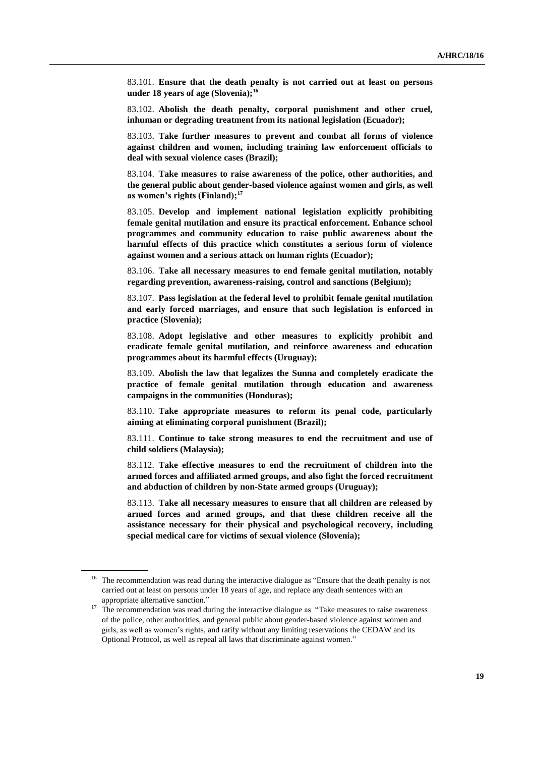83.101. **Ensure that the death penalty is not carried out at least on persons under 18 years of age (Slovenia);<sup>16</sup>**

83.102. **Abolish the death penalty, corporal punishment and other cruel, inhuman or degrading treatment from its national legislation (Ecuador);**

83.103. **Take further measures to prevent and combat all forms of violence against children and women, including training law enforcement officials to deal with sexual violence cases (Brazil);**

83.104. **Take measures to raise awareness of the police, other authorities, and the general public about gender-based violence against women and girls, as well as women's rights (Finland);<sup>17</sup>**

83.105. **Develop and implement national legislation explicitly prohibiting female genital mutilation and ensure its practical enforcement. Enhance school programmes and community education to raise public awareness about the harmful effects of this practice which constitutes a serious form of violence against women and a serious attack on human rights (Ecuador);**

83.106. **Take all necessary measures to end female genital mutilation, notably regarding prevention, awareness-raising, control and sanctions (Belgium);**

83.107. **Pass legislation at the federal level to prohibit female genital mutilation and early forced marriages, and ensure that such legislation is enforced in practice (Slovenia);**

83.108. **Adopt legislative and other measures to explicitly prohibit and eradicate female genital mutilation, and reinforce awareness and education programmes about its harmful effects (Uruguay);**

83.109. **Abolish the law that legalizes the Sunna and completely eradicate the practice of female genital mutilation through education and awareness campaigns in the communities (Honduras);**

83.110. **Take appropriate measures to reform its penal code, particularly aiming at eliminating corporal punishment (Brazil);**

83.111. **Continue to take strong measures to end the recruitment and use of child soldiers (Malaysia);**

83.112. **Take effective measures to end the recruitment of children into the armed forces and affiliated armed groups, and also fight the forced recruitment and abduction of children by non-State armed groups (Uruguay);**

83.113. **Take all necessary measures to ensure that all children are released by armed forces and armed groups, and that these children receive all the assistance necessary for their physical and psychological recovery, including special medical care for victims of sexual violence (Slovenia);**

<sup>&</sup>lt;sup>16</sup> The recommendation was read during the interactive dialogue as "Ensure that the death penalty is not carried out at least on persons under 18 years of age, and replace any death sentences with an appropriate alternative sanction."

<sup>&</sup>lt;sup>17</sup> The recommendation was read during the interactive dialogue as "Take measures to raise awareness of the police, other authorities, and general public about gender-based violence against women and girls, as well as women's rights, and ratify without any limiting reservations the CEDAW and its Optional Protocol, as well as repeal all laws that discriminate against women."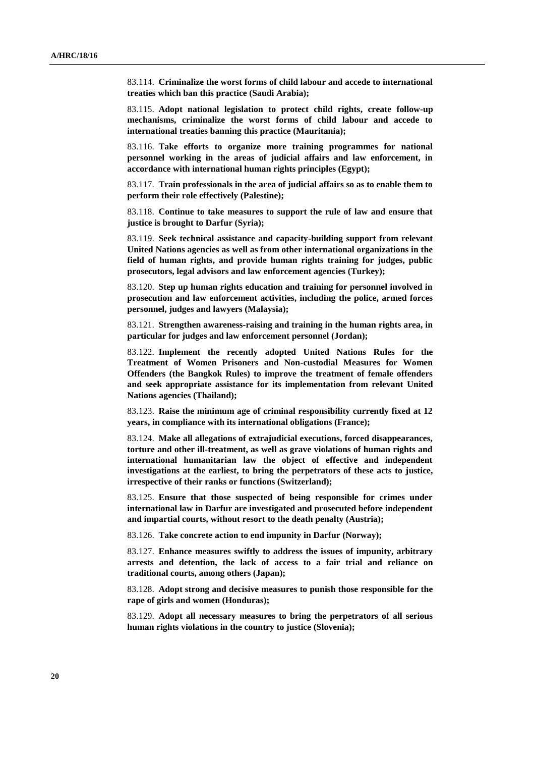83.114. **Criminalize the worst forms of child labour and accede to international treaties which ban this practice (Saudi Arabia);**

83.115. **Adopt national legislation to protect child rights, create follow-up mechanisms, criminalize the worst forms of child labour and accede to international treaties banning this practice (Mauritania);**

83.116. **Take efforts to organize more training programmes for national personnel working in the areas of judicial affairs and law enforcement, in accordance with international human rights principles (Egypt);**

83.117. **Train professionals in the area of judicial affairs so as to enable them to perform their role effectively (Palestine);**

83.118. **Continue to take measures to support the rule of law and ensure that justice is brought to Darfur (Syria);**

83.119. **Seek technical assistance and capacity-building support from relevant United Nations agencies as well as from other international organizations in the field of human rights, and provide human rights training for judges, public prosecutors, legal advisors and law enforcement agencies (Turkey);**

83.120. **Step up human rights education and training for personnel involved in prosecution and law enforcement activities, including the police, armed forces personnel, judges and lawyers (Malaysia);**

83.121. **Strengthen awareness-raising and training in the human rights area, in particular for judges and law enforcement personnel (Jordan);**

83.122. **Implement the recently adopted United Nations Rules for the Treatment of Women Prisoners and Non-custodial Measures for Women Offenders (the Bangkok Rules) to improve the treatment of female offenders and seek appropriate assistance for its implementation from relevant United Nations agencies (Thailand);**

83.123. **Raise the minimum age of criminal responsibility currently fixed at 12 years, in compliance with its international obligations (France);**

83.124. **Make all allegations of extrajudicial executions, forced disappearances, torture and other ill-treatment, as well as grave violations of human rights and international humanitarian law the object of effective and independent investigations at the earliest, to bring the perpetrators of these acts to justice, irrespective of their ranks or functions (Switzerland);**

83.125. **Ensure that those suspected of being responsible for crimes under international law in Darfur are investigated and prosecuted before independent and impartial courts, without resort to the death penalty (Austria);**

83.126. **Take concrete action to end impunity in Darfur (Norway);**

83.127. **Enhance measures swiftly to address the issues of impunity, arbitrary arrests and detention, the lack of access to a fair trial and reliance on traditional courts, among others (Japan);**

83.128. **Adopt strong and decisive measures to punish those responsible for the rape of girls and women (Honduras);**

83.129. **Adopt all necessary measures to bring the perpetrators of all serious human rights violations in the country to justice (Slovenia);**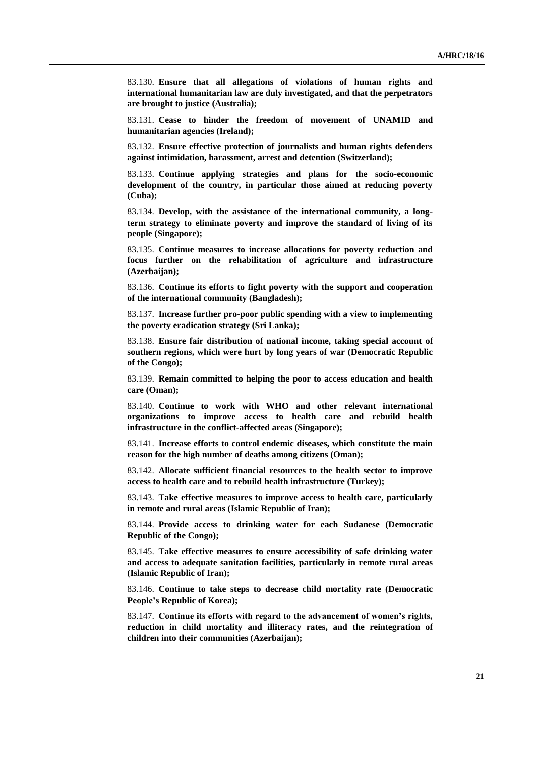83.130. **Ensure that all allegations of violations of human rights and international humanitarian law are duly investigated, and that the perpetrators are brought to justice (Australia);**

83.131. **Cease to hinder the freedom of movement of UNAMID and humanitarian agencies (Ireland);**

83.132. **Ensure effective protection of journalists and human rights defenders against intimidation, harassment, arrest and detention (Switzerland);**

83.133. **Continue applying strategies and plans for the socio-economic development of the country, in particular those aimed at reducing poverty (Cuba);**

83.134. **Develop, with the assistance of the international community, a longterm strategy to eliminate poverty and improve the standard of living of its people (Singapore);**

83.135. **Continue measures to increase allocations for poverty reduction and focus further on the rehabilitation of agriculture and infrastructure (Azerbaijan);**

83.136. **Continue its efforts to fight poverty with the support and cooperation of the international community (Bangladesh);**

83.137. **Increase further pro-poor public spending with a view to implementing the poverty eradication strategy (Sri Lanka);**

83.138. **Ensure fair distribution of national income, taking special account of southern regions, which were hurt by long years of war (Democratic Republic of the Congo);**

83.139. **Remain committed to helping the poor to access education and health care (Oman);**

83.140. **Continue to work with WHO and other relevant international organizations to improve access to health care and rebuild health infrastructure in the conflict-affected areas (Singapore);**

83.141. **Increase efforts to control endemic diseases, which constitute the main reason for the high number of deaths among citizens (Oman);**

83.142. **Allocate sufficient financial resources to the health sector to improve access to health care and to rebuild health infrastructure (Turkey);**

83.143. **Take effective measures to improve access to health care, particularly in remote and rural areas (Islamic Republic of Iran);**

83.144. **Provide access to drinking water for each Sudanese (Democratic Republic of the Congo);**

83.145. **Take effective measures to ensure accessibility of safe drinking water and access to adequate sanitation facilities, particularly in remote rural areas (Islamic Republic of Iran);**

83.146. **Continue to take steps to decrease child mortality rate (Democratic People's Republic of Korea);**

83.147. **Continue its efforts with regard to the advancement of women's rights, reduction in child mortality and illiteracy rates, and the reintegration of children into their communities (Azerbaijan);**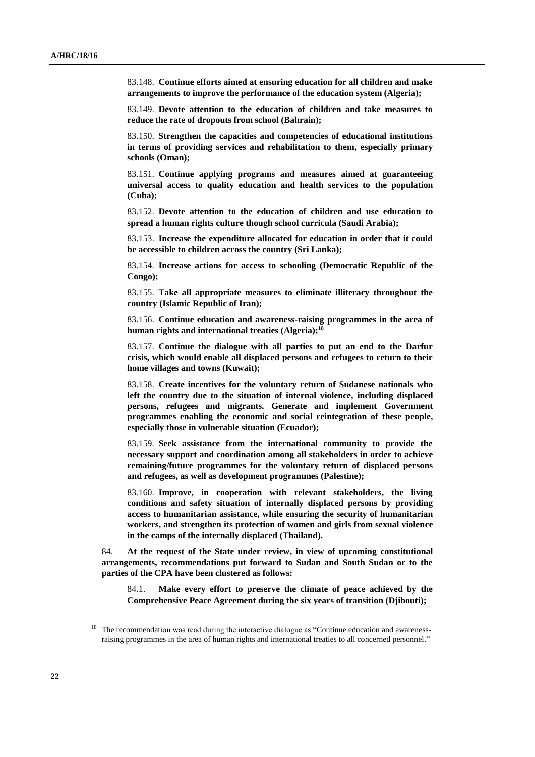83.148. **Continue efforts aimed at ensuring education for all children and make arrangements to improve the performance of the education system (Algeria);**

83.149. **Devote attention to the education of children and take measures to reduce the rate of dropouts from school (Bahrain);**

83.150. **Strengthen the capacities and competencies of educational institutions in terms of providing services and rehabilitation to them, especially primary schools (Oman);**

83.151. **Continue applying programs and measures aimed at guaranteeing universal access to quality education and health services to the population (Cuba);**

83.152. **Devote attention to the education of children and use education to spread a human rights culture though school curricula (Saudi Arabia);**

83.153. **Increase the expenditure allocated for education in order that it could be accessible to children across the country (Sri Lanka);**

83.154. **Increase actions for access to schooling (Democratic Republic of the Congo);**

83.155. **Take all appropriate measures to eliminate illiteracy throughout the country (Islamic Republic of Iran);**

83.156. **Continue education and awareness-raising programmes in the area of human rights and international treaties (Algeria);<sup>18</sup>**

83.157. **Continue the dialogue with all parties to put an end to the Darfur crisis, which would enable all displaced persons and refugees to return to their home villages and towns (Kuwait);**

83.158. **Create incentives for the voluntary return of Sudanese nationals who left the country due to the situation of internal violence, including displaced persons, refugees and migrants. Generate and implement Government programmes enabling the economic and social reintegration of these people, especially those in vulnerable situation (Ecuador);**

83.159. **Seek assistance from the international community to provide the necessary support and coordination among all stakeholders in order to achieve remaining/future programmes for the voluntary return of displaced persons and refugees, as well as development programmes (Palestine);**

83.160. **Improve, in cooperation with relevant stakeholders, the living conditions and safety situation of internally displaced persons by providing access to humanitarian assistance, while ensuring the security of humanitarian workers, and strengthen its protection of women and girls from sexual violence in the camps of the internally displaced (Thailand).**

84. **At the request of the State under review, in view of upcoming constitutional arrangements, recommendations put forward to Sudan and South Sudan or to the parties of the CPA have been clustered as follows:**

84.1. **Make every effort to preserve the climate of peace achieved by the Comprehensive Peace Agreement during the six years of transition (Djibouti);**

<sup>&</sup>lt;sup>18</sup> The recommendation was read during the interactive dialogue as "Continue education and awarenessraising programmes in the area of human rights and international treaties to all concerned personnel."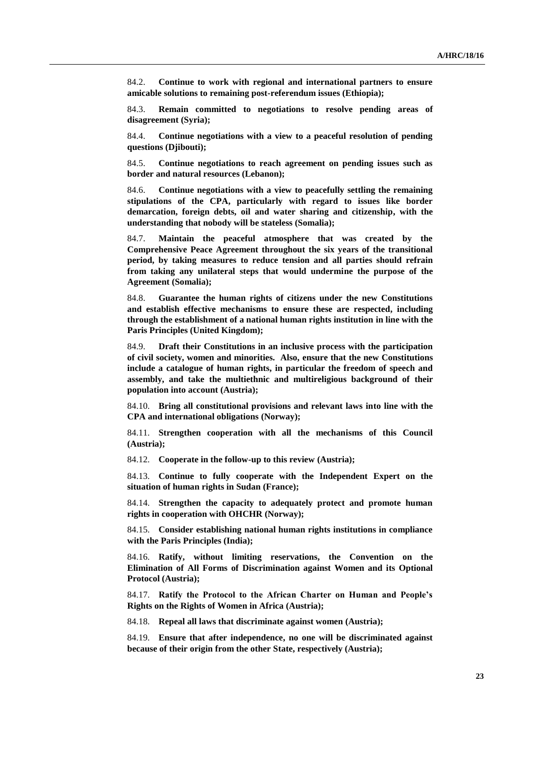84.2. **Continue to work with regional and international partners to ensure amicable solutions to remaining post-referendum issues (Ethiopia);**

84.3. **Remain committed to negotiations to resolve pending areas of disagreement (Syria);**

84.4. **Continue negotiations with a view to a peaceful resolution of pending questions (Djibouti);**

84.5. **Continue negotiations to reach agreement on pending issues such as border and natural resources (Lebanon);**

84.6. **Continue negotiations with a view to peacefully settling the remaining stipulations of the CPA, particularly with regard to issues like border demarcation, foreign debts, oil and water sharing and citizenship, with the understanding that nobody will be stateless (Somalia);**

84.7. **Maintain the peaceful atmosphere that was created by the Comprehensive Peace Agreement throughout the six years of the transitional period, by taking measures to reduce tension and all parties should refrain from taking any unilateral steps that would undermine the purpose of the Agreement (Somalia);**

84.8. **Guarantee the human rights of citizens under the new Constitutions and establish effective mechanisms to ensure these are respected, including through the establishment of a national human rights institution in line with the Paris Principles (United Kingdom);**

84.9. **Draft their Constitutions in an inclusive process with the participation of civil society, women and minorities. Also, ensure that the new Constitutions include a catalogue of human rights, in particular the freedom of speech and assembly, and take the multiethnic and multireligious background of their population into account (Austria);**

84.10. **Bring all constitutional provisions and relevant laws into line with the CPA and international obligations (Norway);**

84.11. **Strengthen cooperation with all the mechanisms of this Council (Austria);**

84.12. **Cooperate in the follow-up to this review (Austria);**

84.13. **Continue to fully cooperate with the Independent Expert on the situation of human rights in Sudan (France);**

84.14. **Strengthen the capacity to adequately protect and promote human rights in cooperation with OHCHR (Norway);**

84.15. **Consider establishing national human rights institutions in compliance with the Paris Principles (India);**

84.16. **Ratify, without limiting reservations, the Convention on the Elimination of All Forms of Discrimination against Women and its Optional Protocol (Austria);**

84.17. **Ratify the Protocol to the African Charter on Human and People's Rights on the Rights of Women in Africa (Austria);**

84.18. **Repeal all laws that discriminate against women (Austria);**

84.19. **Ensure that after independence, no one will be discriminated against because of their origin from the other State, respectively (Austria);**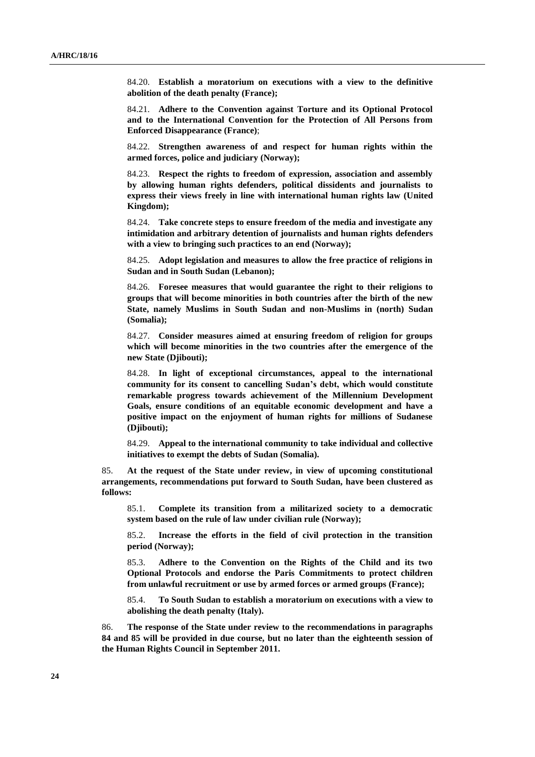84.20. **Establish a moratorium on executions with a view to the definitive abolition of the death penalty (France);**

84.21. **Adhere to the Convention against Torture and its Optional Protocol and to the International Convention for the Protection of All Persons from Enforced Disappearance (France)**;

84.22. **Strengthen awareness of and respect for human rights within the armed forces, police and judiciary (Norway);**

84.23. **Respect the rights to freedom of expression, association and assembly by allowing human rights defenders, political dissidents and journalists to express their views freely in line with international human rights law (United Kingdom);**

84.24. **Take concrete steps to ensure freedom of the media and investigate any intimidation and arbitrary detention of journalists and human rights defenders with a view to bringing such practices to an end (Norway);**

84.25. **Adopt legislation and measures to allow the free practice of religions in Sudan and in South Sudan (Lebanon);**

84.26. **Foresee measures that would guarantee the right to their religions to groups that will become minorities in both countries after the birth of the new State, namely Muslims in South Sudan and non-Muslims in (north) Sudan (Somalia);**

84.27. **Consider measures aimed at ensuring freedom of religion for groups which will become minorities in the two countries after the emergence of the new State (Djibouti);**

84.28. **In light of exceptional circumstances, appeal to the international community for its consent to cancelling Sudan's debt, which would constitute remarkable progress towards achievement of the Millennium Development Goals, ensure conditions of an equitable economic development and have a positive impact on the enjoyment of human rights for millions of Sudanese (Djibouti);**

84.29. **Appeal to the international community to take individual and collective initiatives to exempt the debts of Sudan (Somalia).**

85. **At the request of the State under review, in view of upcoming constitutional arrangements, recommendations put forward to South Sudan, have been clustered as follows:**

85.1. **Complete its transition from a militarized society to a democratic system based on the rule of law under civilian rule (Norway);**

85.2. **Increase the efforts in the field of civil protection in the transition period (Norway);**

85.3. **Adhere to the Convention on the Rights of the Child and its two Optional Protocols and endorse the Paris Commitments to protect children from unlawful recruitment or use by armed forces or armed groups (France);**

85.4. **To South Sudan to establish a moratorium on executions with a view to abolishing the death penalty (Italy).**

86. **The response of the State under review to the recommendations in paragraphs 84 and 85 will be provided in due course, but no later than the eighteenth session of the Human Rights Council in September 2011.**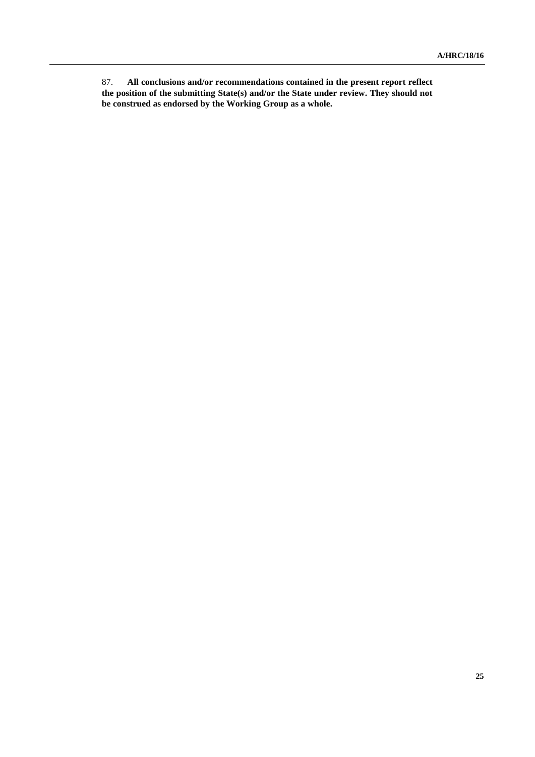87. **All conclusions and/or recommendations contained in the present report reflect the position of the submitting State(s) and/or the State under review. They should not be construed as endorsed by the Working Group as a whole.**